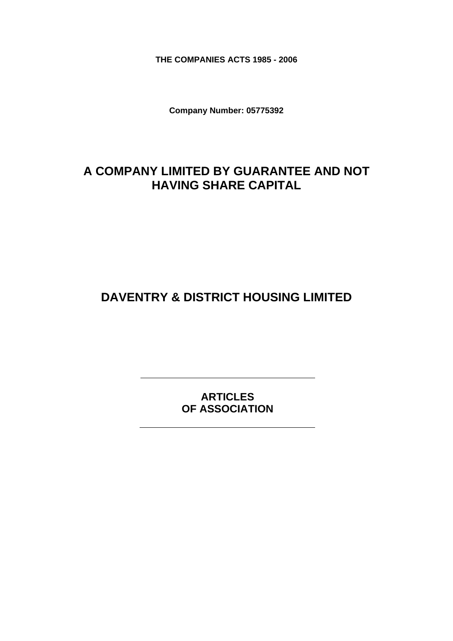**THE COMPANIES ACTS 1985 - 2006** 

**Company Number: 05775392** 

# **A COMPANY LIMITED BY GUARANTEE AND NOT HAVING SHARE CAPITAL**

**DAVENTRY & DISTRICT HOUSING LIMITED** 

**ARTICLES OF ASSOCIATION**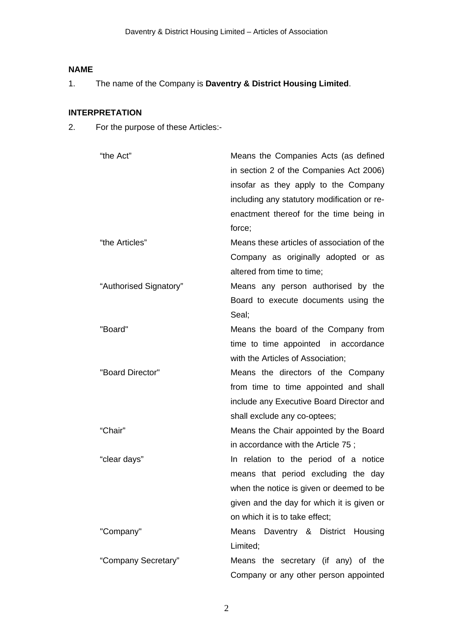# **NAME**

1. The name of the Company is **Daventry & District Housing Limited**.

# **INTERPRETATION**

2. For the purpose of these Articles:-

| "the Act"              | Means the Companies Acts (as defined<br>in section 2 of the Companies Act 2006)<br>insofar as they apply to the Company<br>including any statutory modification or re-<br>enactment thereof for the time being in<br>force; |
|------------------------|-----------------------------------------------------------------------------------------------------------------------------------------------------------------------------------------------------------------------------|
| "the Articles"         | Means these articles of association of the                                                                                                                                                                                  |
|                        | Company as originally adopted or as                                                                                                                                                                                         |
|                        | altered from time to time;                                                                                                                                                                                                  |
| "Authorised Signatory" | Means any person authorised by the                                                                                                                                                                                          |
|                        | Board to execute documents using the                                                                                                                                                                                        |
|                        | Seal:                                                                                                                                                                                                                       |
| "Board"                | Means the board of the Company from                                                                                                                                                                                         |
|                        | time to time appointed in accordance                                                                                                                                                                                        |
|                        | with the Articles of Association;                                                                                                                                                                                           |
| "Board Director"       | Means the directors of the Company                                                                                                                                                                                          |
|                        | from time to time appointed and shall                                                                                                                                                                                       |
|                        | include any Executive Board Director and                                                                                                                                                                                    |
|                        | shall exclude any co-optees;                                                                                                                                                                                                |
| "Chair"                | Means the Chair appointed by the Board                                                                                                                                                                                      |
|                        | in accordance with the Article 75;                                                                                                                                                                                          |
| "clear days"           | In relation to the period of a notice                                                                                                                                                                                       |
|                        | means that period excluding the day                                                                                                                                                                                         |
|                        | when the notice is given or deemed to be                                                                                                                                                                                    |
|                        | given and the day for which it is given or                                                                                                                                                                                  |
|                        | on which it is to take effect;                                                                                                                                                                                              |
| "Company"              | Means Daventry & District Housing                                                                                                                                                                                           |
|                        | Limited;                                                                                                                                                                                                                    |
| "Company Secretary"    | Means the secretary (if any) of the                                                                                                                                                                                         |
|                        | Company or any other person appointed                                                                                                                                                                                       |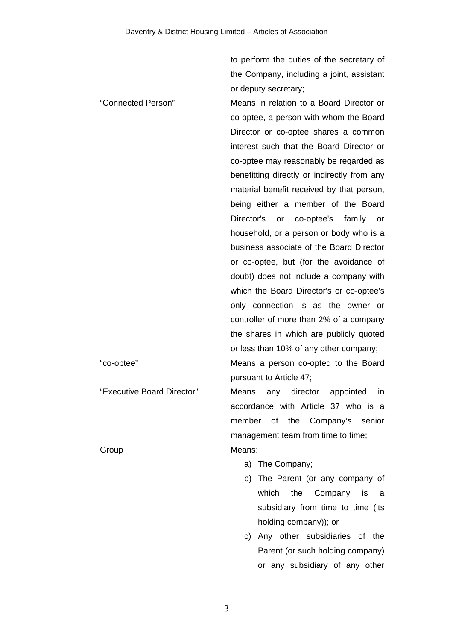to perform the duties of the secretary of the Company, including a joint, assistant or deputy secretary;

"Connected Person" Means in relation to a Board Director or co-optee, a person with whom the Board Director or co-optee shares a common interest such that the Board Director or co-optee may reasonably be regarded as benefitting directly or indirectly from any material benefit received by that person, being either a member of the Board Director's or co-optee's family or household, or a person or body who is a business associate of the Board Director or co-optee, but (for the avoidance of doubt) does not include a company with which the Board Director's or co-optee's only connection is as the owner or controller of more than 2% of a company the shares in which are publicly quoted or less than 10% of any other company; "co-optee" Means a person co-opted to the Board

pursuant to Article 47;

"Executive Board Director" Means any director appointed in accordance with Article 37 who is a member of the Company's senior management team from time to time; Group Means:

- a) The Company;
- b) The Parent (or any company of which the Company is a subsidiary from time to time (its holding company)); or
- c) Any other subsidiaries of the Parent (or such holding company) or any subsidiary of any other

3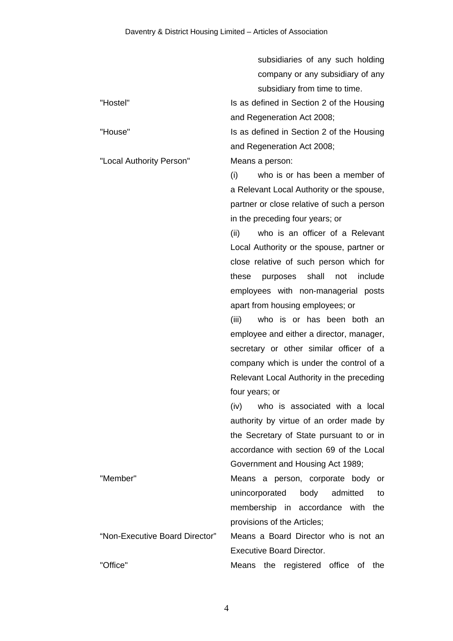|                                | subsidiaries of any such holding             |
|--------------------------------|----------------------------------------------|
|                                | company or any subsidiary of any             |
|                                | subsidiary from time to time.                |
| "Hostel"                       | Is as defined in Section 2 of the Housing    |
|                                | and Regeneration Act 2008;                   |
| "House"                        | Is as defined in Section 2 of the Housing    |
|                                | and Regeneration Act 2008;                   |
| "Local Authority Person"       | Means a person:                              |
|                                | who is or has been a member of<br>(i)        |
|                                | a Relevant Local Authority or the spouse,    |
|                                | partner or close relative of such a person   |
|                                | in the preceding four years; or              |
|                                | who is an officer of a Relevant<br>(ii)      |
|                                | Local Authority or the spouse, partner or    |
|                                | close relative of such person which for      |
|                                | these<br>shall<br>include<br>purposes<br>not |
|                                | employees with non-managerial posts          |
|                                | apart from housing employees; or             |
|                                | (iii)<br>who is or has been both an          |
|                                | employee and either a director, manager,     |
|                                | secretary or other similar officer of a      |
|                                | company which is under the control of a      |
|                                | Relevant Local Authority in the preceding    |
|                                | four years; or                               |
|                                | who is associated with a local<br>(iv)       |
|                                | authority by virtue of an order made by      |
|                                | the Secretary of State pursuant to or in     |
|                                | accordance with section 69 of the Local      |
|                                | Government and Housing Act 1989;             |
| "Member"                       | Means a person, corporate body or            |
|                                | body<br>unincorporated<br>admitted<br>to     |
|                                | membership in accordance with<br>the         |
|                                | provisions of the Articles;                  |
| "Non-Executive Board Director" | Means a Board Director who is not an         |
|                                | <b>Executive Board Director.</b>             |
| "Office"                       | Means the registered office<br>οf<br>the     |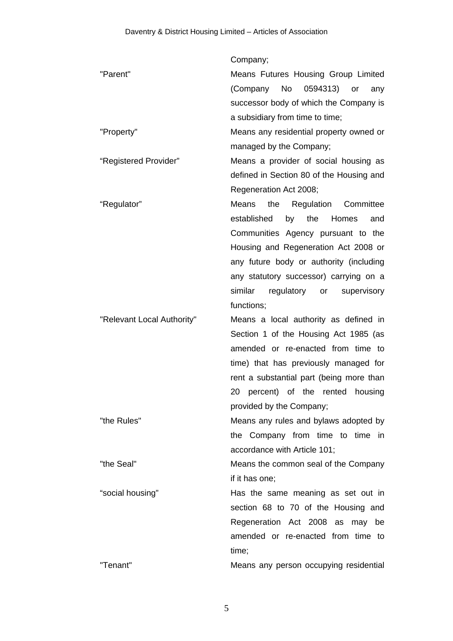|                            | Company;                                   |
|----------------------------|--------------------------------------------|
| "Parent"                   | Means Futures Housing Group Limited        |
|                            | No<br>0594313)<br>(Company<br>or<br>any    |
|                            | successor body of which the Company is     |
|                            | a subsidiary from time to time;            |
| "Property"                 | Means any residential property owned or    |
|                            | managed by the Company;                    |
| "Registered Provider"      | Means a provider of social housing as      |
|                            | defined in Section 80 of the Housing and   |
|                            | Regeneration Act 2008;                     |
| "Regulator"                | the<br>Regulation Committee<br>Means       |
|                            | established<br>by the<br>Homes<br>and      |
|                            | Communities Agency pursuant to the         |
|                            | Housing and Regeneration Act 2008 or       |
|                            | any future body or authority (including    |
|                            | any statutory successor) carrying on a     |
|                            | similar<br>regulatory or<br>supervisory    |
|                            | functions;                                 |
| "Relevant Local Authority" | Means a local authority as defined in      |
|                            | Section 1 of the Housing Act 1985 (as      |
|                            | amended or re-enacted from time to         |
|                            | time) that has previously managed for      |
|                            | rent a substantial part (being more than   |
|                            | 20<br>percent) of the<br>housing<br>rented |
|                            | provided by the Company;                   |
| "the Rules"                | Means any rules and bylaws adopted by      |
|                            | the Company from time to time in           |
|                            | accordance with Article 101;               |
| "the Seal"                 | Means the common seal of the Company       |
|                            | if it has one;                             |
| "social housing"           | Has the same meaning as set out in         |
|                            | section 68 to 70 of the Housing and        |
|                            | Regeneration Act 2008 as<br>may<br>be      |
|                            | amended or re-enacted from time to         |
|                            | time;                                      |
| "Tenant"                   | Means any person occupying residential     |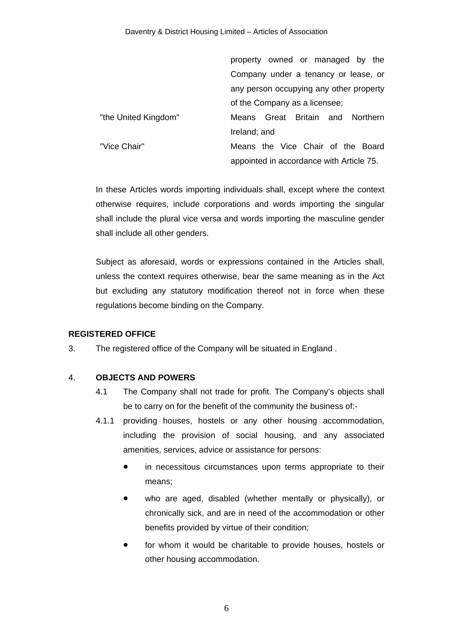|                      | property owned or managed by the         |
|----------------------|------------------------------------------|
|                      | Company under a tenancy or lease, or     |
|                      | any person occupying any other property  |
|                      | of the Company as a licensee;            |
| "the United Kingdom" | Great Britain and Northern<br>Means.     |
|                      | Ireland; and                             |
| "Vice Chair"         | Means the Vice Chair of the Board        |
|                      | appointed in accordance with Article 75. |

In these Articles words importing individuals shall, except where the context otherwise requires, include corporations and words importing the singular shall include the plural vice versa and words importing the masculine gender shall include all other genders.

Subject as aforesaid, words or expressions contained in the Articles shall, unless the context requires otherwise, bear the same meaning as in the Act but excluding any statutory modification thereof not in force when these regulations become binding on the Company.

# **REGISTERED OFFICE**

3. The registered office of the Company will be situated in England .

# 4. **OBJECTS AND POWERS**

- 4.1 The Company shall not trade for profit. The Company's objects shall be to carry on for the benefit of the community the business of:-
- 4.1.1 providing houses, hostels or any other housing accommodation, including the provision of social housing, and any associated amenities, services, advice or assistance for persons:
	- in necessitous circumstances upon terms appropriate to their means;
	- who are aged, disabled (whether mentally or physically), or chronically sick, and are in need of the accommodation or other benefits provided by virtue of their condition;
	- **•** for whom it would be charitable to provide houses, hostels or other housing accommodation.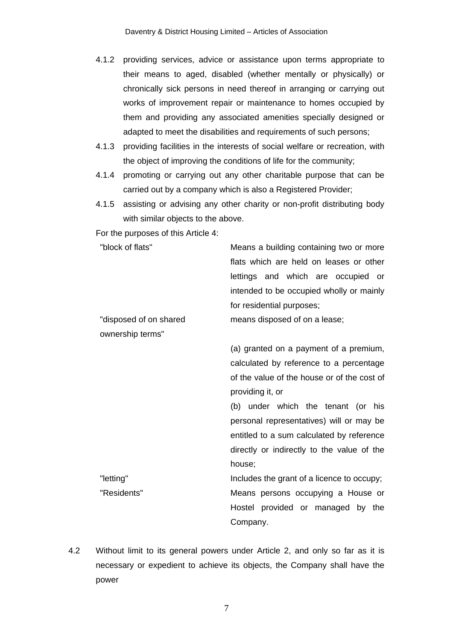- 4.1.2 providing services, advice or assistance upon terms appropriate to their means to aged, disabled (whether mentally or physically) or chronically sick persons in need thereof in arranging or carrying out works of improvement repair or maintenance to homes occupied by them and providing any associated amenities specially designed or adapted to meet the disabilities and requirements of such persons;
- 4.1.3 providing facilities in the interests of social welfare or recreation, with the object of improving the conditions of life for the community;
- 4.1.4 promoting or carrying out any other charitable purpose that can be carried out by a company which is also a Registered Provider;
- 4.1.5 assisting or advising any other charity or non-profit distributing body with similar objects to the above.

For the purposes of this Article 4:

| "block of flats"       | Means a building containing two or more     |
|------------------------|---------------------------------------------|
|                        | flats which are held on leases or other     |
|                        | lettings and which are occupied<br>or       |
|                        | intended to be occupied wholly or mainly    |
|                        | for residential purposes;                   |
| "disposed of on shared | means disposed of on a lease;               |
| ownership terms"       |                                             |
|                        | (a) granted on a payment of a premium,      |
|                        | calculated by reference to a percentage     |
|                        | of the value of the house or of the cost of |
|                        | providing it, or                            |
|                        | (b) under which the tenant (or his          |
|                        | personal representatives) will or may be    |
|                        | entitled to a sum calculated by reference   |
|                        | directly or indirectly to the value of the  |
|                        | house;                                      |
| "letting"              | Includes the grant of a licence to occupy;  |
| "Residents"            | Means persons occupying a House or          |
|                        | Hostel provided or managed by the           |
|                        | Company.                                    |

4.2 Without limit to its general powers under Article 2, and only so far as it is necessary or expedient to achieve its objects, the Company shall have the power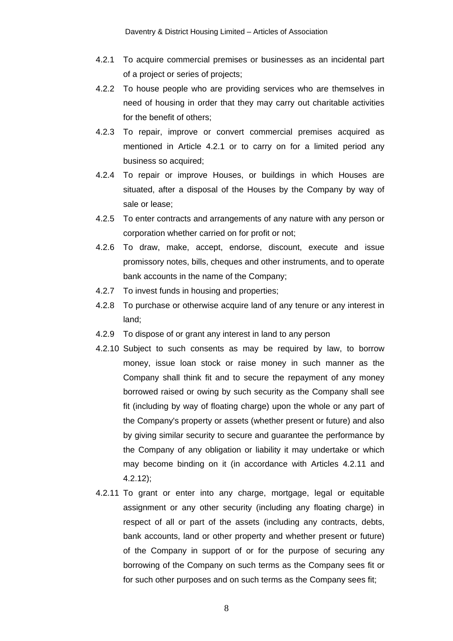- 4.2.1 To acquire commercial premises or businesses as an incidental part of a project or series of projects;
- 4.2.2 To house people who are providing services who are themselves in need of housing in order that they may carry out charitable activities for the benefit of others;
- 4.2.3 To repair, improve or convert commercial premises acquired as mentioned in Article 4.2.1 or to carry on for a limited period any business so acquired;
- 4.2.4 To repair or improve Houses, or buildings in which Houses are situated, after a disposal of the Houses by the Company by way of sale or lease;
- 4.2.5 To enter contracts and arrangements of any nature with any person or corporation whether carried on for profit or not;
- 4.2.6 To draw, make, accept, endorse, discount, execute and issue promissory notes, bills, cheques and other instruments, and to operate bank accounts in the name of the Company;
- 4.2.7 To invest funds in housing and properties;
- 4.2.8 To purchase or otherwise acquire land of any tenure or any interest in land;
- 4.2.9 To dispose of or grant any interest in land to any person
- 4.2.10 Subject to such consents as may be required by law, to borrow money, issue loan stock or raise money in such manner as the Company shall think fit and to secure the repayment of any money borrowed raised or owing by such security as the Company shall see fit (including by way of floating charge) upon the whole or any part of the Company's property or assets (whether present or future) and also by giving similar security to secure and guarantee the performance by the Company of any obligation or liability it may undertake or which may become binding on it (in accordance with Articles 4.2.11 and 4.2.12);
- 4.2.11 To grant or enter into any charge, mortgage, legal or equitable assignment or any other security (including any floating charge) in respect of all or part of the assets (including any contracts, debts, bank accounts, land or other property and whether present or future) of the Company in support of or for the purpose of securing any borrowing of the Company on such terms as the Company sees fit or for such other purposes and on such terms as the Company sees fit;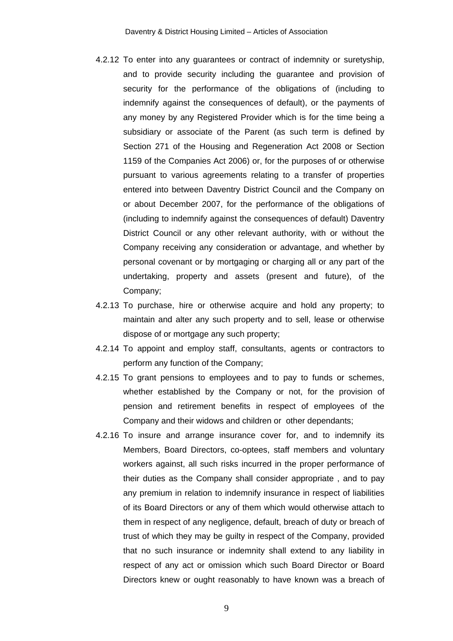- 4.2.12 To enter into any guarantees or contract of indemnity or suretyship, and to provide security including the guarantee and provision of security for the performance of the obligations of (including to indemnify against the consequences of default), or the payments of any money by any Registered Provider which is for the time being a subsidiary or associate of the Parent (as such term is defined by Section 271 of the Housing and Regeneration Act 2008 or Section 1159 of the Companies Act 2006) or, for the purposes of or otherwise pursuant to various agreements relating to a transfer of properties entered into between Daventry District Council and the Company on or about December 2007, for the performance of the obligations of (including to indemnify against the consequences of default) Daventry District Council or any other relevant authority, with or without the Company receiving any consideration or advantage, and whether by personal covenant or by mortgaging or charging all or any part of the undertaking, property and assets (present and future), of the Company;
- 4.2.13 To purchase, hire or otherwise acquire and hold any property; to maintain and alter any such property and to sell, lease or otherwise dispose of or mortgage any such property;
- 4.2.14 To appoint and employ staff, consultants, agents or contractors to perform any function of the Company;
- 4.2.15 To grant pensions to employees and to pay to funds or schemes, whether established by the Company or not, for the provision of pension and retirement benefits in respect of employees of the Company and their widows and children or other dependants;
- 4.2.16 To insure and arrange insurance cover for, and to indemnify its Members, Board Directors, co-optees, staff members and voluntary workers against, all such risks incurred in the proper performance of their duties as the Company shall consider appropriate , and to pay any premium in relation to indemnify insurance in respect of liabilities of its Board Directors or any of them which would otherwise attach to them in respect of any negligence, default, breach of duty or breach of trust of which they may be guilty in respect of the Company, provided that no such insurance or indemnity shall extend to any liability in respect of any act or omission which such Board Director or Board Directors knew or ought reasonably to have known was a breach of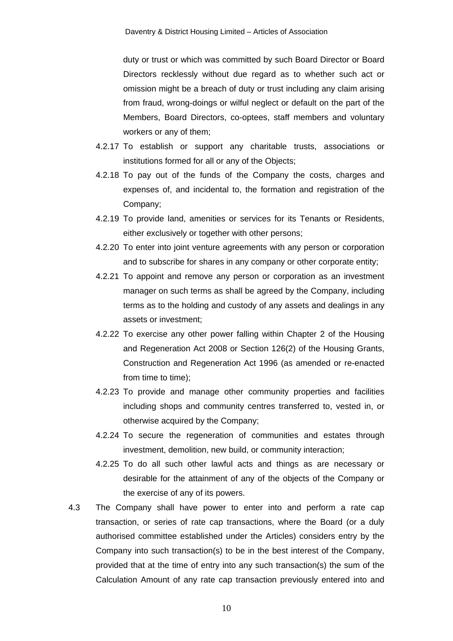duty or trust or which was committed by such Board Director or Board Directors recklessly without due regard as to whether such act or omission might be a breach of duty or trust including any claim arising from fraud, wrong-doings or wilful neglect or default on the part of the Members, Board Directors, co-optees, staff members and voluntary workers or any of them;

- 4.2.17 To establish or support any charitable trusts, associations or institutions formed for all or any of the Objects;
- 4.2.18 To pay out of the funds of the Company the costs, charges and expenses of, and incidental to, the formation and registration of the Company;
- 4.2.19 To provide land, amenities or services for its Tenants or Residents, either exclusively or together with other persons;
- 4.2.20 To enter into joint venture agreements with any person or corporation and to subscribe for shares in any company or other corporate entity;
- 4.2.21 To appoint and remove any person or corporation as an investment manager on such terms as shall be agreed by the Company, including terms as to the holding and custody of any assets and dealings in any assets or investment;
- 4.2.22 To exercise any other power falling within Chapter 2 of the Housing and Regeneration Act 2008 or Section 126(2) of the Housing Grants, Construction and Regeneration Act 1996 (as amended or re-enacted from time to time);
- 4.2.23 To provide and manage other community properties and facilities including shops and community centres transferred to, vested in, or otherwise acquired by the Company;
- 4.2.24 To secure the regeneration of communities and estates through investment, demolition, new build, or community interaction;
- 4.2.25 To do all such other lawful acts and things as are necessary or desirable for the attainment of any of the objects of the Company or the exercise of any of its powers.
- 4.3 The Company shall have power to enter into and perform a rate cap transaction, or series of rate cap transactions, where the Board (or a duly authorised committee established under the Articles) considers entry by the Company into such transaction(s) to be in the best interest of the Company, provided that at the time of entry into any such transaction(s) the sum of the Calculation Amount of any rate cap transaction previously entered into and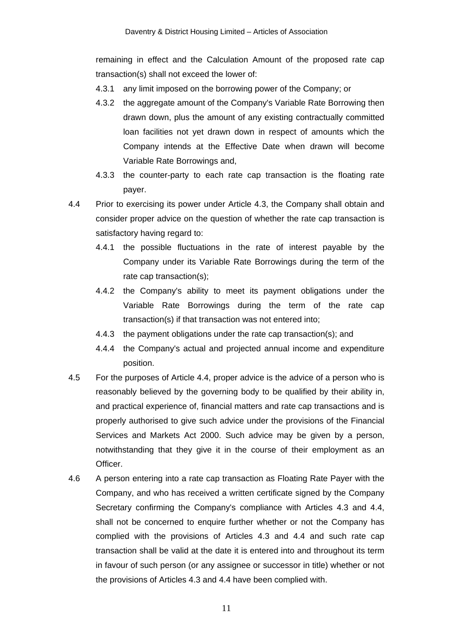remaining in effect and the Calculation Amount of the proposed rate cap transaction(s) shall not exceed the lower of:

- 4.3.1 any limit imposed on the borrowing power of the Company; or
- 4.3.2 the aggregate amount of the Company's Variable Rate Borrowing then drawn down, plus the amount of any existing contractually committed loan facilities not yet drawn down in respect of amounts which the Company intends at the Effective Date when drawn will become Variable Rate Borrowings and,
- 4.3.3 the counter-party to each rate cap transaction is the floating rate payer.

4.4 Prior to exercising its power under Article 4.3, the Company shall obtain and consider proper advice on the question of whether the rate cap transaction is satisfactory having regard to:

- 4.4.1 the possible fluctuations in the rate of interest payable by the Company under its Variable Rate Borrowings during the term of the rate cap transaction(s);
- 4.4.2 the Company's ability to meet its payment obligations under the Variable Rate Borrowings during the term of the rate cap transaction(s) if that transaction was not entered into;
- 4.4.3 the payment obligations under the rate cap transaction(s); and
- 4.4.4 the Company's actual and projected annual income and expenditure position.
- 4.5 For the purposes of Article 4.4, proper advice is the advice of a person who is reasonably believed by the governing body to be qualified by their ability in, and practical experience of, financial matters and rate cap transactions and is properly authorised to give such advice under the provisions of the Financial Services and Markets Act 2000. Such advice may be given by a person, notwithstanding that they give it in the course of their employment as an Officer.
- 4.6 A person entering into a rate cap transaction as Floating Rate Payer with the Company, and who has received a written certificate signed by the Company Secretary confirming the Company's compliance with Articles 4.3 and 4.4, shall not be concerned to enquire further whether or not the Company has complied with the provisions of Articles 4.3 and 4.4 and such rate cap transaction shall be valid at the date it is entered into and throughout its term in favour of such person (or any assignee or successor in title) whether or not the provisions of Articles 4.3 and 4.4 have been complied with.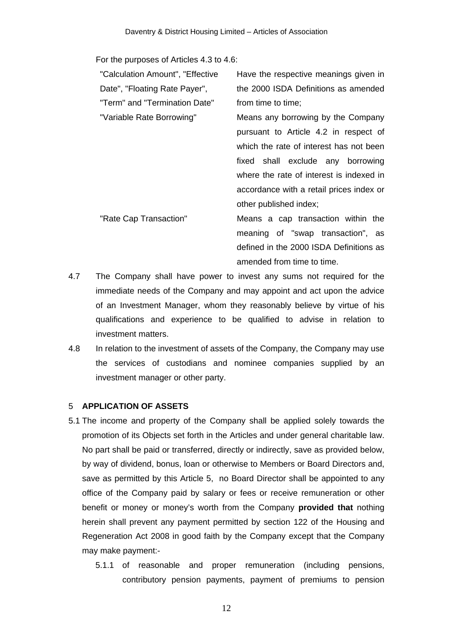For the purposes of Articles 4.3 to 4.6:

"Calculation Amount", "Effective Date", "Floating Rate Payer", "Term" and "Termination Date"

Have the respective meanings given in the 2000 ISDA Definitions as amended from time to time;

"Variable Rate Borrowing" Means any borrowing by the Company pursuant to Article 4.2 in respect of which the rate of interest has not been fixed shall exclude any borrowing where the rate of interest is indexed in accordance with a retail prices index or other published index;

"Rate Cap Transaction" Means a cap transaction within the meaning of "swap transaction", as defined in the 2000 ISDA Definitions as amended from time to time.

- 4.7 The Company shall have power to invest any sums not required for the immediate needs of the Company and may appoint and act upon the advice of an Investment Manager, whom they reasonably believe by virtue of his qualifications and experience to be qualified to advise in relation to investment matters.
- 4.8 In relation to the investment of assets of the Company, the Company may use the services of custodians and nominee companies supplied by an investment manager or other party.

# 5 **APPLICATION OF ASSETS**

- 5.1 The income and property of the Company shall be applied solely towards the promotion of its Objects set forth in the Articles and under general charitable law. No part shall be paid or transferred, directly or indirectly, save as provided below, by way of dividend, bonus, loan or otherwise to Members or Board Directors and, save as permitted by this Article 5, no Board Director shall be appointed to any office of the Company paid by salary or fees or receive remuneration or other benefit or money or money's worth from the Company **provided that** nothing herein shall prevent any payment permitted by section 122 of the Housing and Regeneration Act 2008 in good faith by the Company except that the Company may make payment:-
	- 5.1.1 of reasonable and proper remuneration (including pensions, contributory pension payments, payment of premiums to pension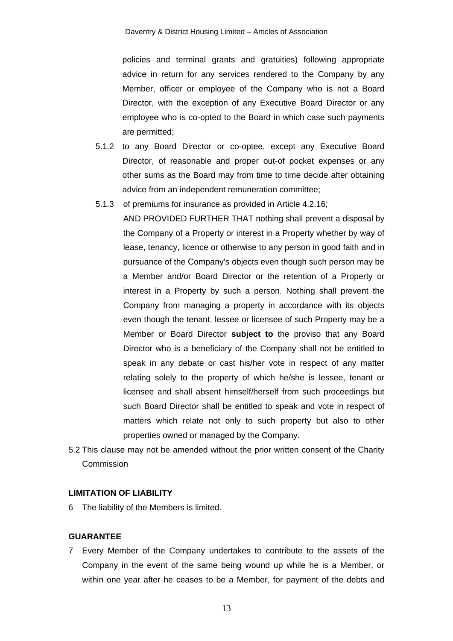policies and terminal grants and gratuities) following appropriate advice in return for any services rendered to the Company by any Member, officer or employee of the Company who is not a Board Director, with the exception of any Executive Board Director or any employee who is co-opted to the Board in which case such payments are permitted;

- 5.1.2 to any Board Director or co-optee, except any Executive Board Director, of reasonable and proper out-of pocket expenses or any other sums as the Board may from time to time decide after obtaining advice from an independent remuneration committee;
- 5.1.3 of premiums for insurance as provided in Article 4.2.16;

AND PROVIDED FURTHER THAT nothing shall prevent a disposal by the Company of a Property or interest in a Property whether by way of lease, tenancy, licence or otherwise to any person in good faith and in pursuance of the Company's objects even though such person may be a Member and/or Board Director or the retention of a Property or interest in a Property by such a person. Nothing shall prevent the Company from managing a property in accordance with its objects even though the tenant, lessee or licensee of such Property may be a Member or Board Director **subject to** the proviso that any Board Director who is a beneficiary of the Company shall not be entitled to speak in any debate or cast his/her vote in respect of any matter relating solely to the property of which he/she is lessee, tenant or licensee and shall absent himself/herself from such proceedings but such Board Director shall be entitled to speak and vote in respect of matters which relate not only to such property but also to other properties owned or managed by the Company.

5.2 This clause may not be amended without the prior written consent of the Charity Commission

# **LIMITATION OF LIABILITY**

6 The liability of the Members is limited.

### **GUARANTEE**

7 Every Member of the Company undertakes to contribute to the assets of the Company in the event of the same being wound up while he is a Member, or within one year after he ceases to be a Member, for payment of the debts and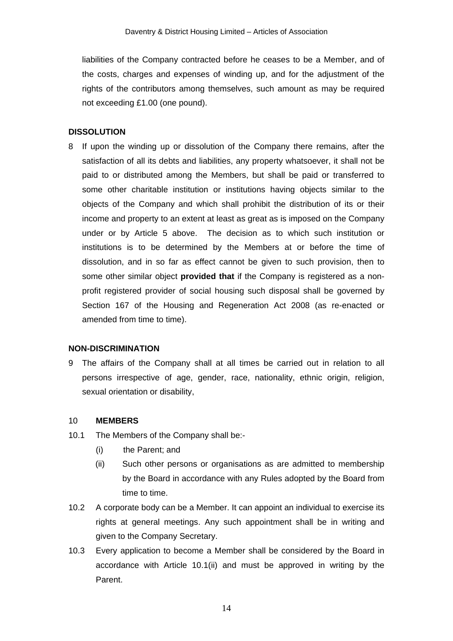liabilities of the Company contracted before he ceases to be a Member, and of the costs, charges and expenses of winding up, and for the adjustment of the rights of the contributors among themselves, such amount as may be required not exceeding £1.00 (one pound).

# **DISSOLUTION**

8 If upon the winding up or dissolution of the Company there remains, after the satisfaction of all its debts and liabilities, any property whatsoever, it shall not be paid to or distributed among the Members, but shall be paid or transferred to some other charitable institution or institutions having objects similar to the objects of the Company and which shall prohibit the distribution of its or their income and property to an extent at least as great as is imposed on the Company under or by Article 5 above. The decision as to which such institution or institutions is to be determined by the Members at or before the time of dissolution, and in so far as effect cannot be given to such provision, then to some other similar object **provided that** if the Company is registered as a nonprofit registered provider of social housing such disposal shall be governed by Section 167 of the Housing and Regeneration Act 2008 (as re-enacted or amended from time to time).

### **NON-DISCRIMINATION**

9 The affairs of the Company shall at all times be carried out in relation to all persons irrespective of age, gender, race, nationality, ethnic origin, religion, sexual orientation or disability,

#### 10 **MEMBERS**

- 10.1 The Members of the Company shall be:-
	- (i) the Parent; and
	- (ii) Such other persons or organisations as are admitted to membership by the Board in accordance with any Rules adopted by the Board from time to time.
- 10.2 A corporate body can be a Member. It can appoint an individual to exercise its rights at general meetings. Any such appointment shall be in writing and given to the Company Secretary.
- 10.3 Every application to become a Member shall be considered by the Board in accordance with Article 10.1(ii) and must be approved in writing by the Parent.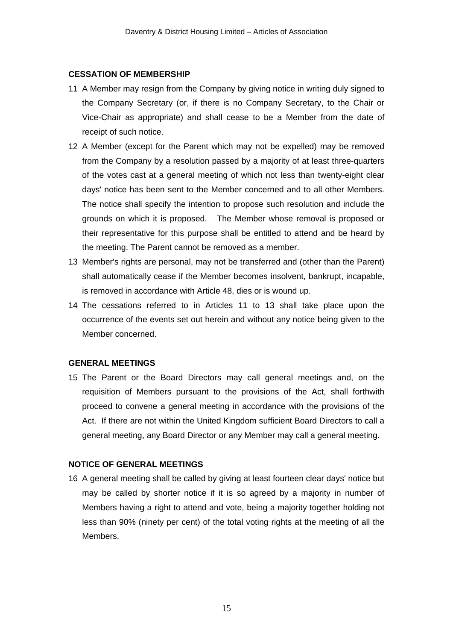### **CESSATION OF MEMBERSHIP**

- 11 A Member may resign from the Company by giving notice in writing duly signed to the Company Secretary (or, if there is no Company Secretary, to the Chair or Vice-Chair as appropriate) and shall cease to be a Member from the date of receipt of such notice.
- 12 A Member (except for the Parent which may not be expelled) may be removed from the Company by a resolution passed by a majority of at least three-quarters of the votes cast at a general meeting of which not less than twenty-eight clear days' notice has been sent to the Member concerned and to all other Members. The notice shall specify the intention to propose such resolution and include the grounds on which it is proposed. The Member whose removal is proposed or their representative for this purpose shall be entitled to attend and be heard by the meeting. The Parent cannot be removed as a member.
- 13 Member's rights are personal, may not be transferred and (other than the Parent) shall automatically cease if the Member becomes insolvent, bankrupt, incapable, is removed in accordance with Article 48, dies or is wound up.
- 14 The cessations referred to in Articles 11 to 13 shall take place upon the occurrence of the events set out herein and without any notice being given to the Member concerned.

### **GENERAL MEETINGS**

15 The Parent or the Board Directors may call general meetings and, on the requisition of Members pursuant to the provisions of the Act, shall forthwith proceed to convene a general meeting in accordance with the provisions of the Act. If there are not within the United Kingdom sufficient Board Directors to call a general meeting, any Board Director or any Member may call a general meeting.

# **NOTICE OF GENERAL MEETINGS**

16 A general meeting shall be called by giving at least fourteen clear days' notice but may be called by shorter notice if it is so agreed by a majority in number of Members having a right to attend and vote, being a majority together holding not less than 90% (ninety per cent) of the total voting rights at the meeting of all the Members.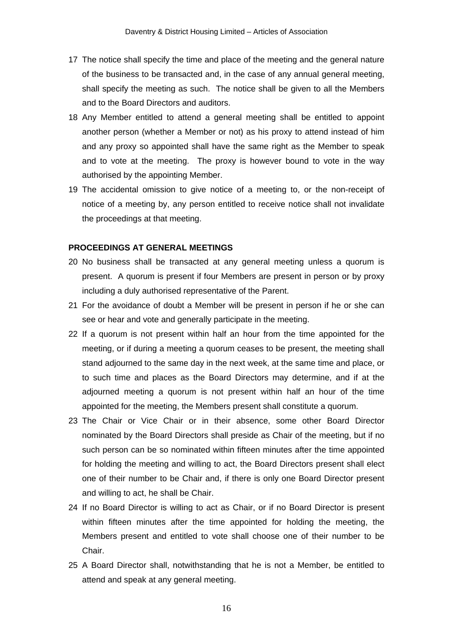- 17 The notice shall specify the time and place of the meeting and the general nature of the business to be transacted and, in the case of any annual general meeting, shall specify the meeting as such. The notice shall be given to all the Members and to the Board Directors and auditors.
- 18 Any Member entitled to attend a general meeting shall be entitled to appoint another person (whether a Member or not) as his proxy to attend instead of him and any proxy so appointed shall have the same right as the Member to speak and to vote at the meeting. The proxy is however bound to vote in the way authorised by the appointing Member.
- 19 The accidental omission to give notice of a meeting to, or the non-receipt of notice of a meeting by, any person entitled to receive notice shall not invalidate the proceedings at that meeting.

### **PROCEEDINGS AT GENERAL MEETINGS**

- 20 No business shall be transacted at any general meeting unless a quorum is present. A quorum is present if four Members are present in person or by proxy including a duly authorised representative of the Parent.
- 21 For the avoidance of doubt a Member will be present in person if he or she can see or hear and vote and generally participate in the meeting.
- 22 If a quorum is not present within half an hour from the time appointed for the meeting, or if during a meeting a quorum ceases to be present, the meeting shall stand adjourned to the same day in the next week, at the same time and place, or to such time and places as the Board Directors may determine, and if at the adjourned meeting a quorum is not present within half an hour of the time appointed for the meeting, the Members present shall constitute a quorum.
- 23 The Chair or Vice Chair or in their absence, some other Board Director nominated by the Board Directors shall preside as Chair of the meeting, but if no such person can be so nominated within fifteen minutes after the time appointed for holding the meeting and willing to act, the Board Directors present shall elect one of their number to be Chair and, if there is only one Board Director present and willing to act, he shall be Chair.
- 24 If no Board Director is willing to act as Chair, or if no Board Director is present within fifteen minutes after the time appointed for holding the meeting, the Members present and entitled to vote shall choose one of their number to be Chair.
- 25 A Board Director shall, notwithstanding that he is not a Member, be entitled to attend and speak at any general meeting.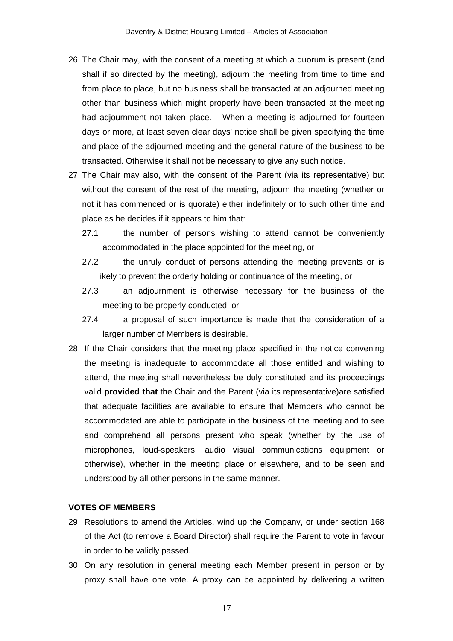- 26 The Chair may, with the consent of a meeting at which a quorum is present (and shall if so directed by the meeting), adjourn the meeting from time to time and from place to place, but no business shall be transacted at an adjourned meeting other than business which might properly have been transacted at the meeting had adjournment not taken place. When a meeting is adjourned for fourteen days or more, at least seven clear days' notice shall be given specifying the time and place of the adjourned meeting and the general nature of the business to be transacted. Otherwise it shall not be necessary to give any such notice.
- 27 The Chair may also, with the consent of the Parent (via its representative) but without the consent of the rest of the meeting, adjourn the meeting (whether or not it has commenced or is quorate) either indefinitely or to such other time and place as he decides if it appears to him that:
	- 27.1 the number of persons wishing to attend cannot be conveniently accommodated in the place appointed for the meeting, or
	- 27.2 the unruly conduct of persons attending the meeting prevents or is likely to prevent the orderly holding or continuance of the meeting, or
	- 27.3 an adjournment is otherwise necessary for the business of the meeting to be properly conducted, or
	- 27.4 a proposal of such importance is made that the consideration of a larger number of Members is desirable.
- 28 If the Chair considers that the meeting place specified in the notice convening the meeting is inadequate to accommodate all those entitled and wishing to attend, the meeting shall nevertheless be duly constituted and its proceedings valid **provided that** the Chair and the Parent (via its representative)are satisfied that adequate facilities are available to ensure that Members who cannot be accommodated are able to participate in the business of the meeting and to see and comprehend all persons present who speak (whether by the use of microphones, loud-speakers, audio visual communications equipment or otherwise), whether in the meeting place or elsewhere, and to be seen and understood by all other persons in the same manner.

# **VOTES OF MEMBERS**

- 29 Resolutions to amend the Articles, wind up the Company, or under section 168 of the Act (to remove a Board Director) shall require the Parent to vote in favour in order to be validly passed.
- 30 On any resolution in general meeting each Member present in person or by proxy shall have one vote. A proxy can be appointed by delivering a written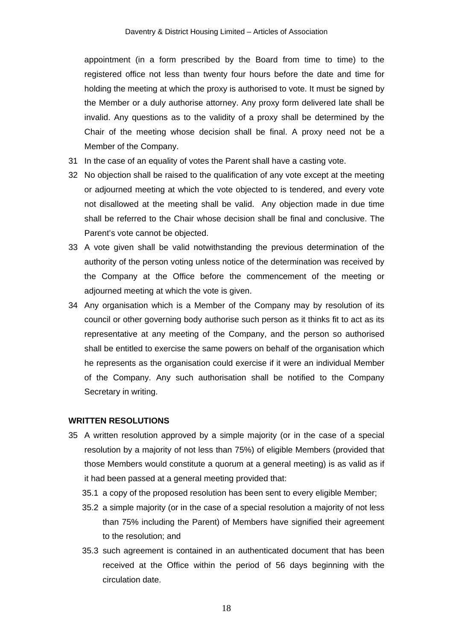appointment (in a form prescribed by the Board from time to time) to the registered office not less than twenty four hours before the date and time for holding the meeting at which the proxy is authorised to vote. It must be signed by the Member or a duly authorise attorney. Any proxy form delivered late shall be invalid. Any questions as to the validity of a proxy shall be determined by the Chair of the meeting whose decision shall be final. A proxy need not be a Member of the Company.

- 31 In the case of an equality of votes the Parent shall have a casting vote.
- 32 No objection shall be raised to the qualification of any vote except at the meeting or adjourned meeting at which the vote objected to is tendered, and every vote not disallowed at the meeting shall be valid. Any objection made in due time shall be referred to the Chair whose decision shall be final and conclusive. The Parent's vote cannot be objected.
- 33 A vote given shall be valid notwithstanding the previous determination of the authority of the person voting unless notice of the determination was received by the Company at the Office before the commencement of the meeting or adjourned meeting at which the vote is given.
- 34 Any organisation which is a Member of the Company may by resolution of its council or other governing body authorise such person as it thinks fit to act as its representative at any meeting of the Company, and the person so authorised shall be entitled to exercise the same powers on behalf of the organisation which he represents as the organisation could exercise if it were an individual Member of the Company. Any such authorisation shall be notified to the Company Secretary in writing.

#### **WRITTEN RESOLUTIONS**

- 35 A written resolution approved by a simple majority (or in the case of a special resolution by a majority of not less than 75%) of eligible Members (provided that those Members would constitute a quorum at a general meeting) is as valid as if it had been passed at a general meeting provided that:
	- 35.1 a copy of the proposed resolution has been sent to every eligible Member;
	- 35.2 a simple majority (or in the case of a special resolution a majority of not less than 75% including the Parent) of Members have signified their agreement to the resolution; and
	- 35.3 such agreement is contained in an authenticated document that has been received at the Office within the period of 56 days beginning with the circulation date.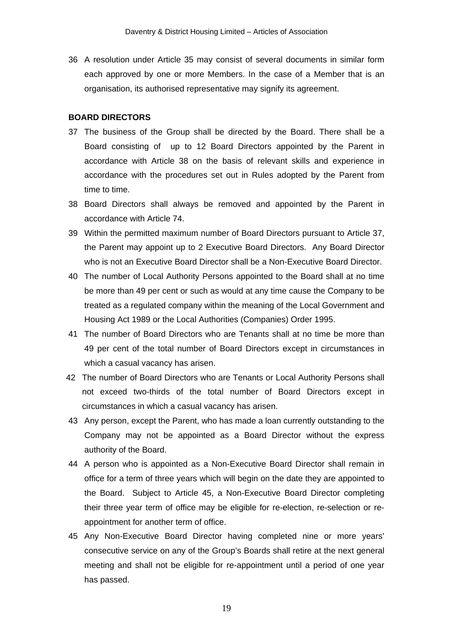36 A resolution under Article 35 may consist of several documents in similar form each approved by one or more Members. In the case of a Member that is an organisation, its authorised representative may signify its agreement.

#### **BOARD DIRECTORS**

- 37 The business of the Group shall be directed by the Board. There shall be a Board consisting of up to 12 Board Directors appointed by the Parent in accordance with Article 38 on the basis of relevant skills and experience in accordance with the procedures set out in Rules adopted by the Parent from time to time.
- 38 Board Directors shall always be removed and appointed by the Parent in accordance with Article 74.
- 39 Within the permitted maximum number of Board Directors pursuant to Article 37, the Parent may appoint up to 2 Executive Board Directors. Any Board Director who is not an Executive Board Director shall be a Non-Executive Board Director.
- 40 The number of Local Authority Persons appointed to the Board shall at no time be more than 49 per cent or such as would at any time cause the Company to be treated as a regulated company within the meaning of the Local Government and Housing Act 1989 or the Local Authorities (Companies) Order 1995.
- 41 The number of Board Directors who are Tenants shall at no time be more than 49 per cent of the total number of Board Directors except in circumstances in which a casual vacancy has arisen.
- 42 The number of Board Directors who are Tenants or Local Authority Persons shall not exceed two-thirds of the total number of Board Directors except in circumstances in which a casual vacancy has arisen.
- 43 Any person, except the Parent, who has made a loan currently outstanding to the Company may not be appointed as a Board Director without the express authority of the Board.
- 44 A person who is appointed as a Non-Executive Board Director shall remain in office for a term of three years which will begin on the date they are appointed to the Board. Subject to Article 45, a Non-Executive Board Director completing their three year term of office may be eligible for re-election, re-selection or reappointment for another term of office.
- 45 Any Non-Executive Board Director having completed nine or more years' consecutive service on any of the Group's Boards shall retire at the next general meeting and shall not be eligible for re-appointment until a period of one year has passed.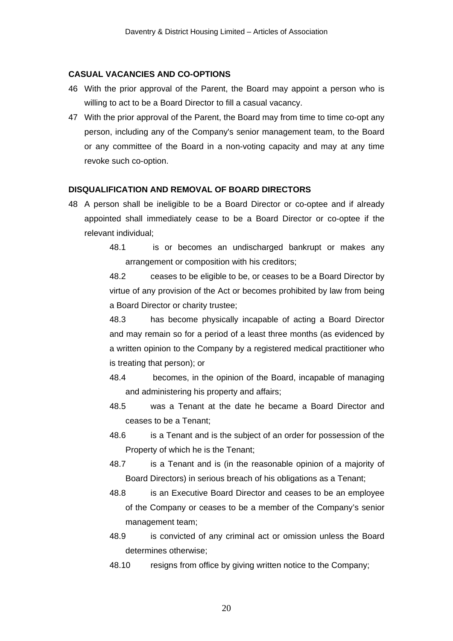### **CASUAL VACANCIES AND CO-OPTIONS**

- 46 With the prior approval of the Parent, the Board may appoint a person who is willing to act to be a Board Director to fill a casual vacancy.
- 47 With the prior approval of the Parent, the Board may from time to time co-opt any person, including any of the Company's senior management team, to the Board or any committee of the Board in a non-voting capacity and may at any time revoke such co-option.

### **DISQUALIFICATION AND REMOVAL OF BOARD DIRECTORS**

- 48 A person shall be ineligible to be a Board Director or co-optee and if already appointed shall immediately cease to be a Board Director or co-optee if the relevant individual;
	- 48.1 is or becomes an undischarged bankrupt or makes any arrangement or composition with his creditors;

48.2 ceases to be eligible to be, or ceases to be a Board Director by virtue of any provision of the Act or becomes prohibited by law from being a Board Director or charity trustee;

48.3 has become physically incapable of acting a Board Director and may remain so for a period of a least three months (as evidenced by a written opinion to the Company by a registered medical practitioner who is treating that person); or

- 48.4 becomes, in the opinion of the Board, incapable of managing and administering his property and affairs;
- 48.5 was a Tenant at the date he became a Board Director and ceases to be a Tenant;
- 48.6 is a Tenant and is the subject of an order for possession of the Property of which he is the Tenant;
- 48.7 is a Tenant and is (in the reasonable opinion of a majority of Board Directors) in serious breach of his obligations as a Tenant;
- 48.8 is an Executive Board Director and ceases to be an employee of the Company or ceases to be a member of the Company's senior management team;
- 48.9 is convicted of any criminal act or omission unless the Board determines otherwise;
- 48.10 resigns from office by giving written notice to the Company;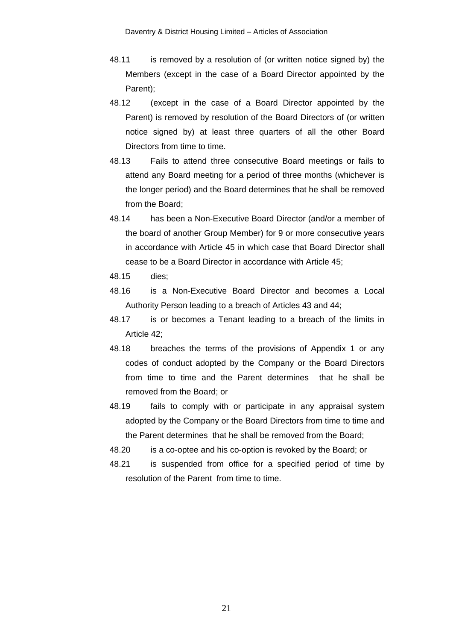- 48.11 is removed by a resolution of (or written notice signed by) the Members (except in the case of a Board Director appointed by the Parent);
- 48.12 (except in the case of a Board Director appointed by the Parent) is removed by resolution of the Board Directors of (or written notice signed by) at least three quarters of all the other Board Directors from time to time.
- 48.13 Fails to attend three consecutive Board meetings or fails to attend any Board meeting for a period of three months (whichever is the longer period) and the Board determines that he shall be removed from the Board;
- 48.14 has been a Non-Executive Board Director (and/or a member of the board of another Group Member) for 9 or more consecutive years in accordance with Article 45 in which case that Board Director shall cease to be a Board Director in accordance with Article 45;
- 48.15 dies;
- 48.16 is a Non-Executive Board Director and becomes a Local Authority Person leading to a breach of Articles 43 and 44;
- 48.17 is or becomes a Tenant leading to a breach of the limits in Article 42;
- 48.18 breaches the terms of the provisions of Appendix 1 or any codes of conduct adopted by the Company or the Board Directors from time to time and the Parent determines that he shall be removed from the Board; or
- 48.19 fails to comply with or participate in any appraisal system adopted by the Company or the Board Directors from time to time and the Parent determines that he shall be removed from the Board;
- 48.20 is a co-optee and his co-option is revoked by the Board; or
- 48.21 is suspended from office for a specified period of time by resolution of the Parent from time to time.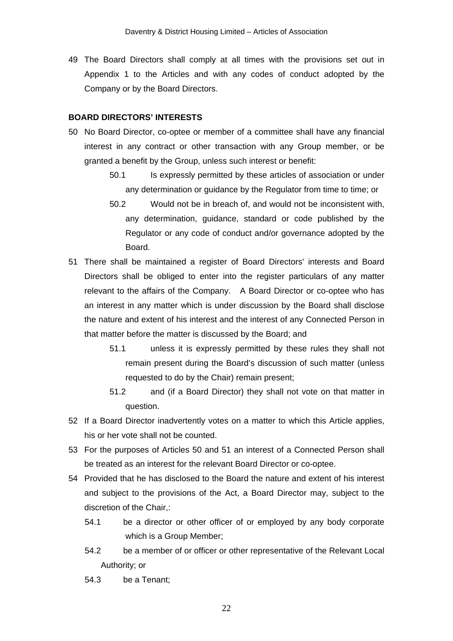49 The Board Directors shall comply at all times with the provisions set out in Appendix 1 to the Articles and with any codes of conduct adopted by the Company or by the Board Directors.

#### **BOARD DIRECTORS' INTERESTS**

- 50 No Board Director, co-optee or member of a committee shall have any financial interest in any contract or other transaction with any Group member, or be granted a benefit by the Group, unless such interest or benefit:
	- 50.1 Is expressly permitted by these articles of association or under any determination or guidance by the Regulator from time to time; or
	- 50.2 Would not be in breach of, and would not be inconsistent with, any determination, guidance, standard or code published by the Regulator or any code of conduct and/or governance adopted by the Board.
- 51 There shall be maintained a register of Board Directors' interests and Board Directors shall be obliged to enter into the register particulars of any matter relevant to the affairs of the Company. A Board Director or co-optee who has an interest in any matter which is under discussion by the Board shall disclose the nature and extent of his interest and the interest of any Connected Person in that matter before the matter is discussed by the Board; and
	- 51.1 unless it is expressly permitted by these rules they shall not remain present during the Board's discussion of such matter (unless requested to do by the Chair) remain present;
	- 51.2 and (if a Board Director) they shall not vote on that matter in question.
- 52 If a Board Director inadvertently votes on a matter to which this Article applies, his or her vote shall not be counted.
- 53 For the purposes of Articles 50 and 51 an interest of a Connected Person shall be treated as an interest for the relevant Board Director or co-optee.
- 54 Provided that he has disclosed to the Board the nature and extent of his interest and subject to the provisions of the Act, a Board Director may, subject to the discretion of the Chair,:
	- 54.1 be a director or other officer of or employed by any body corporate which is a Group Member;
	- 54.2 be a member of or officer or other representative of the Relevant Local Authority; or
	- 54.3 be a Tenant;

22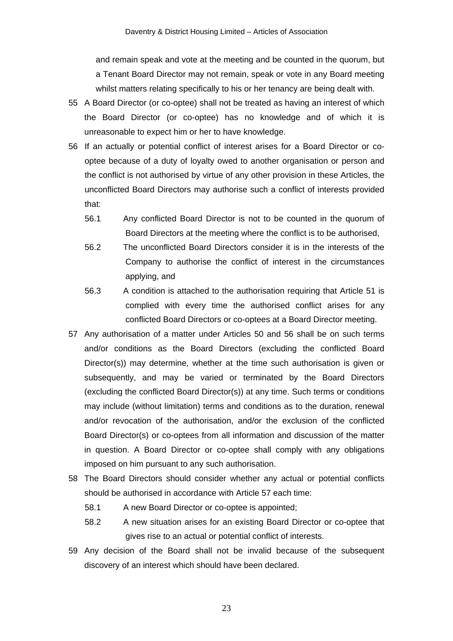and remain speak and vote at the meeting and be counted in the quorum, but a Tenant Board Director may not remain, speak or vote in any Board meeting whilst matters relating specifically to his or her tenancy are being dealt with.

- 55 A Board Director (or co-optee) shall not be treated as having an interest of which the Board Director (or co-optee) has no knowledge and of which it is unreasonable to expect him or her to have knowledge.
- 56 If an actually or potential conflict of interest arises for a Board Director or cooptee because of a duty of loyalty owed to another organisation or person and the conflict is not authorised by virtue of any other provision in these Articles, the unconflicted Board Directors may authorise such a conflict of interests provided that:
	- 56.1 Any conflicted Board Director is not to be counted in the quorum of Board Directors at the meeting where the conflict is to be authorised,
	- 56.2 The unconflicted Board Directors consider it is in the interests of the Company to authorise the conflict of interest in the circumstances applying, and
	- 56.3 A condition is attached to the authorisation requiring that Article 51 is complied with every time the authorised conflict arises for any conflicted Board Directors or co-optees at a Board Director meeting.
- 57 Any authorisation of a matter under Articles 50 and 56 shall be on such terms and/or conditions as the Board Directors (excluding the conflicted Board Director(s)) may determine, whether at the time such authorisation is given or subsequently, and may be varied or terminated by the Board Directors (excluding the conflicted Board Director(s)) at any time. Such terms or conditions may include (without limitation) terms and conditions as to the duration, renewal and/or revocation of the authorisation, and/or the exclusion of the conflicted Board Director(s) or co-optees from all information and discussion of the matter in question. A Board Director or co-optee shall comply with any obligations imposed on him pursuant to any such authorisation.
- 58 The Board Directors should consider whether any actual or potential conflicts should be authorised in accordance with Article 57 each time:
	- 58.1 A new Board Director or co-optee is appointed;
	- 58.2 A new situation arises for an existing Board Director or co-optee that gives rise to an actual or potential conflict of interests.
- 59 Any decision of the Board shall not be invalid because of the subsequent discovery of an interest which should have been declared.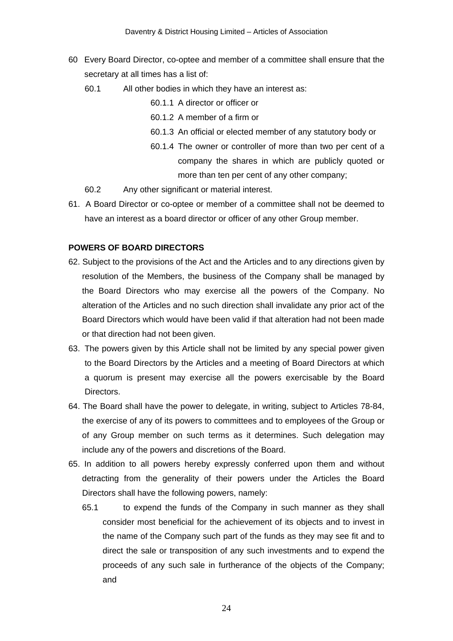- 60 Every Board Director, co-optee and member of a committee shall ensure that the secretary at all times has a list of:
	- 60.1 All other bodies in which they have an interest as:

60.1.1 A director or officer or

- 60.1.2 A member of a firm or
- 60.1.3 An official or elected member of any statutory body or
- 60.1.4 The owner or controller of more than two per cent of a company the shares in which are publicly quoted or more than ten per cent of any other company;
- 60.2 Any other significant or material interest.
- 61. A Board Director or co-optee or member of a committee shall not be deemed to have an interest as a board director or officer of any other Group member.

# **POWERS OF BOARD DIRECTORS**

- 62. Subject to the provisions of the Act and the Articles and to any directions given by resolution of the Members, the business of the Company shall be managed by the Board Directors who may exercise all the powers of the Company. No alteration of the Articles and no such direction shall invalidate any prior act of the Board Directors which would have been valid if that alteration had not been made or that direction had not been given.
- 63. The powers given by this Article shall not be limited by any special power given to the Board Directors by the Articles and a meeting of Board Directors at which a quorum is present may exercise all the powers exercisable by the Board Directors.
- 64. The Board shall have the power to delegate, in writing, subject to Articles 78-84, the exercise of any of its powers to committees and to employees of the Group or of any Group member on such terms as it determines. Such delegation may include any of the powers and discretions of the Board.
- 65. In addition to all powers hereby expressly conferred upon them and without detracting from the generality of their powers under the Articles the Board Directors shall have the following powers, namely:
	- 65.1 to expend the funds of the Company in such manner as they shall consider most beneficial for the achievement of its objects and to invest in the name of the Company such part of the funds as they may see fit and to direct the sale or transposition of any such investments and to expend the proceeds of any such sale in furtherance of the objects of the Company; and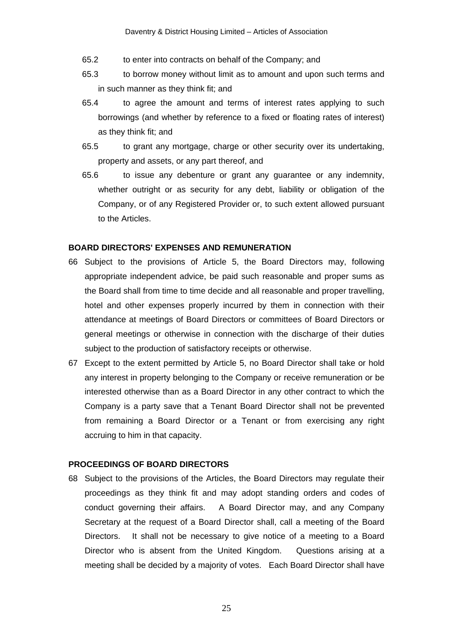- 65.2 to enter into contracts on behalf of the Company; and
- 65.3 to borrow money without limit as to amount and upon such terms and in such manner as they think fit; and
- 65.4 to agree the amount and terms of interest rates applying to such borrowings (and whether by reference to a fixed or floating rates of interest) as they think fit; and
- 65.5 to grant any mortgage, charge or other security over its undertaking, property and assets, or any part thereof, and
- 65.6 to issue any debenture or grant any guarantee or any indemnity, whether outright or as security for any debt, liability or obligation of the Company, or of any Registered Provider or, to such extent allowed pursuant to the Articles.

# **BOARD DIRECTORS' EXPENSES AND REMUNERATION**

- 66 Subject to the provisions of Article 5, the Board Directors may, following appropriate independent advice, be paid such reasonable and proper sums as the Board shall from time to time decide and all reasonable and proper travelling, hotel and other expenses properly incurred by them in connection with their attendance at meetings of Board Directors or committees of Board Directors or general meetings or otherwise in connection with the discharge of their duties subject to the production of satisfactory receipts or otherwise.
- 67 Except to the extent permitted by Article 5, no Board Director shall take or hold any interest in property belonging to the Company or receive remuneration or be interested otherwise than as a Board Director in any other contract to which the Company is a party save that a Tenant Board Director shall not be prevented from remaining a Board Director or a Tenant or from exercising any right accruing to him in that capacity.

# **PROCEEDINGS OF BOARD DIRECTORS**

68 Subject to the provisions of the Articles, the Board Directors may regulate their proceedings as they think fit and may adopt standing orders and codes of conduct governing their affairs. A Board Director may, and any Company Secretary at the request of a Board Director shall, call a meeting of the Board Directors. It shall not be necessary to give notice of a meeting to a Board Director who is absent from the United Kingdom. Questions arising at a meeting shall be decided by a majority of votes. Each Board Director shall have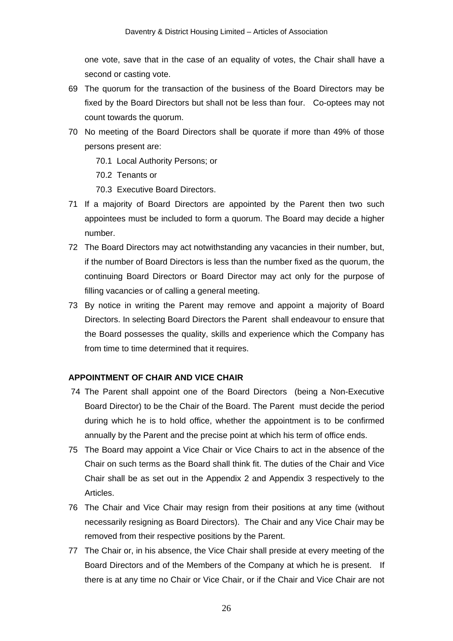one vote, save that in the case of an equality of votes, the Chair shall have a second or casting vote.

- 69 The quorum for the transaction of the business of the Board Directors may be fixed by the Board Directors but shall not be less than four. Co-optees may not count towards the quorum.
- 70 No meeting of the Board Directors shall be quorate if more than 49% of those persons present are:
	- 70.1 Local Authority Persons; or
	- 70.2 Tenants or
	- 70.3 Executive Board Directors.
- 71 If a majority of Board Directors are appointed by the Parent then two such appointees must be included to form a quorum. The Board may decide a higher number.
- 72 The Board Directors may act notwithstanding any vacancies in their number, but, if the number of Board Directors is less than the number fixed as the quorum, the continuing Board Directors or Board Director may act only for the purpose of filling vacancies or of calling a general meeting.
- 73 By notice in writing the Parent may remove and appoint a majority of Board Directors. In selecting Board Directors the Parent shall endeavour to ensure that the Board possesses the quality, skills and experience which the Company has from time to time determined that it requires.

# **APPOINTMENT OF CHAIR AND VICE CHAIR**

- 74 The Parent shall appoint one of the Board Directors (being a Non-Executive Board Director) to be the Chair of the Board. The Parent must decide the period during which he is to hold office, whether the appointment is to be confirmed annually by the Parent and the precise point at which his term of office ends.
- 75 The Board may appoint a Vice Chair or Vice Chairs to act in the absence of the Chair on such terms as the Board shall think fit. The duties of the Chair and Vice Chair shall be as set out in the Appendix 2 and Appendix 3 respectively to the Articles.
- 76 The Chair and Vice Chair may resign from their positions at any time (without necessarily resigning as Board Directors). The Chair and any Vice Chair may be removed from their respective positions by the Parent.
- 77 The Chair or, in his absence, the Vice Chair shall preside at every meeting of the Board Directors and of the Members of the Company at which he is present. If there is at any time no Chair or Vice Chair, or if the Chair and Vice Chair are not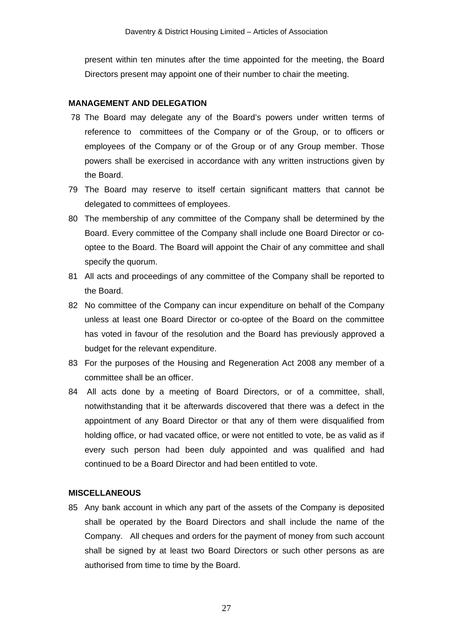present within ten minutes after the time appointed for the meeting, the Board Directors present may appoint one of their number to chair the meeting.

#### **MANAGEMENT AND DELEGATION**

- 78 The Board may delegate any of the Board's powers under written terms of reference to committees of the Company or of the Group, or to officers or employees of the Company or of the Group or of any Group member. Those powers shall be exercised in accordance with any written instructions given by the Board.
- 79 The Board may reserve to itself certain significant matters that cannot be delegated to committees of employees.
- 80 The membership of any committee of the Company shall be determined by the Board. Every committee of the Company shall include one Board Director or cooptee to the Board. The Board will appoint the Chair of any committee and shall specify the quorum.
- 81 All acts and proceedings of any committee of the Company shall be reported to the Board.
- 82 No committee of the Company can incur expenditure on behalf of the Company unless at least one Board Director or co-optee of the Board on the committee has voted in favour of the resolution and the Board has previously approved a budget for the relevant expenditure.
- 83 For the purposes of the Housing and Regeneration Act 2008 any member of a committee shall be an officer.
- 84 All acts done by a meeting of Board Directors, or of a committee, shall, notwithstanding that it be afterwards discovered that there was a defect in the appointment of any Board Director or that any of them were disqualified from holding office, or had vacated office, or were not entitled to vote, be as valid as if every such person had been duly appointed and was qualified and had continued to be a Board Director and had been entitled to vote.

#### **MISCELLANEOUS**

85 Any bank account in which any part of the assets of the Company is deposited shall be operated by the Board Directors and shall include the name of the Company. All cheques and orders for the payment of money from such account shall be signed by at least two Board Directors or such other persons as are authorised from time to time by the Board.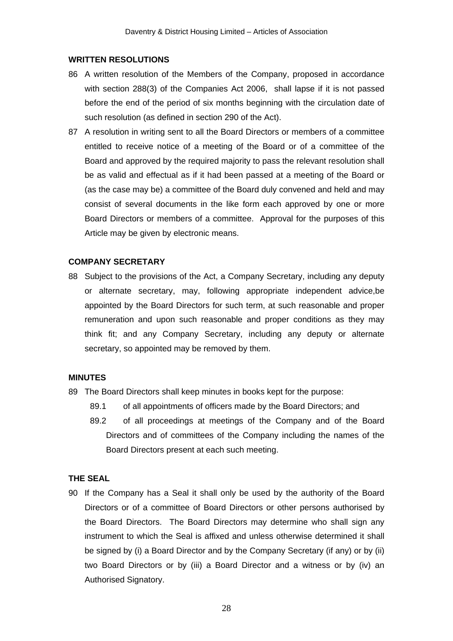### **WRITTEN RESOLUTIONS**

- 86 A written resolution of the Members of the Company, proposed in accordance with section 288(3) of the Companies Act 2006, shall lapse if it is not passed before the end of the period of six months beginning with the circulation date of such resolution (as defined in section 290 of the Act).
- 87 A resolution in writing sent to all the Board Directors or members of a committee entitled to receive notice of a meeting of the Board or of a committee of the Board and approved by the required majority to pass the relevant resolution shall be as valid and effectual as if it had been passed at a meeting of the Board or (as the case may be) a committee of the Board duly convened and held and may consist of several documents in the like form each approved by one or more Board Directors or members of a committee. Approval for the purposes of this Article may be given by electronic means.

#### **COMPANY SECRETARY**

88 Subject to the provisions of the Act, a Company Secretary, including any deputy or alternate secretary, may, following appropriate independent advice,be appointed by the Board Directors for such term, at such reasonable and proper remuneration and upon such reasonable and proper conditions as they may think fit; and any Company Secretary, including any deputy or alternate secretary, so appointed may be removed by them.

### **MINUTES**

- 89 The Board Directors shall keep minutes in books kept for the purpose:
	- 89.1 of all appointments of officers made by the Board Directors; and
	- 89.2 of all proceedings at meetings of the Company and of the Board Directors and of committees of the Company including the names of the Board Directors present at each such meeting.

#### **THE SEAL**

90 If the Company has a Seal it shall only be used by the authority of the Board Directors or of a committee of Board Directors or other persons authorised by the Board Directors. The Board Directors may determine who shall sign any instrument to which the Seal is affixed and unless otherwise determined it shall be signed by (i) a Board Director and by the Company Secretary (if any) or by (ii) two Board Directors or by (iii) a Board Director and a witness or by (iv) an Authorised Signatory.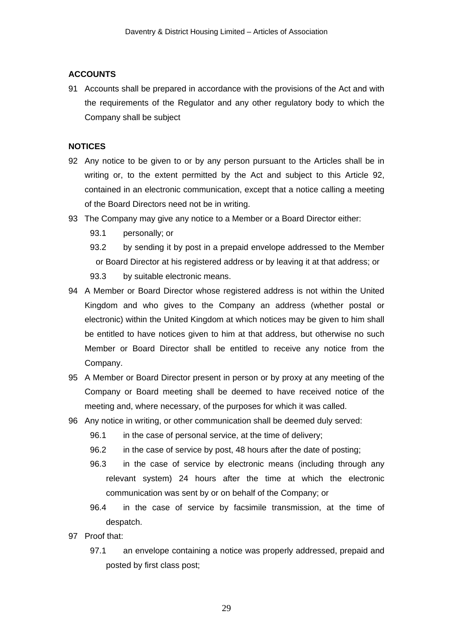# **ACCOUNTS**

91 Accounts shall be prepared in accordance with the provisions of the Act and with the requirements of the Regulator and any other regulatory body to which the Company shall be subject

# **NOTICES**

- 92 Any notice to be given to or by any person pursuant to the Articles shall be in writing or, to the extent permitted by the Act and subject to this Article 92, contained in an electronic communication, except that a notice calling a meeting of the Board Directors need not be in writing.
- 93 The Company may give any notice to a Member or a Board Director either:
	- 93.1 personally; or
	- 93.2 by sending it by post in a prepaid envelope addressed to the Member or Board Director at his registered address or by leaving it at that address; or
	- 93.3 by suitable electronic means.
- 94 A Member or Board Director whose registered address is not within the United Kingdom and who gives to the Company an address (whether postal or electronic) within the United Kingdom at which notices may be given to him shall be entitled to have notices given to him at that address, but otherwise no such Member or Board Director shall be entitled to receive any notice from the Company.
- 95 A Member or Board Director present in person or by proxy at any meeting of the Company or Board meeting shall be deemed to have received notice of the meeting and, where necessary, of the purposes for which it was called.
- 96 Any notice in writing, or other communication shall be deemed duly served:
	- 96.1 in the case of personal service, at the time of delivery;
	- 96.2 in the case of service by post, 48 hours after the date of posting;
	- 96.3 in the case of service by electronic means (including through any relevant system) 24 hours after the time at which the electronic communication was sent by or on behalf of the Company; or
	- 96.4 in the case of service by facsimile transmission, at the time of despatch.
- 97 Proof that:
	- 97.1 an envelope containing a notice was properly addressed, prepaid and posted by first class post;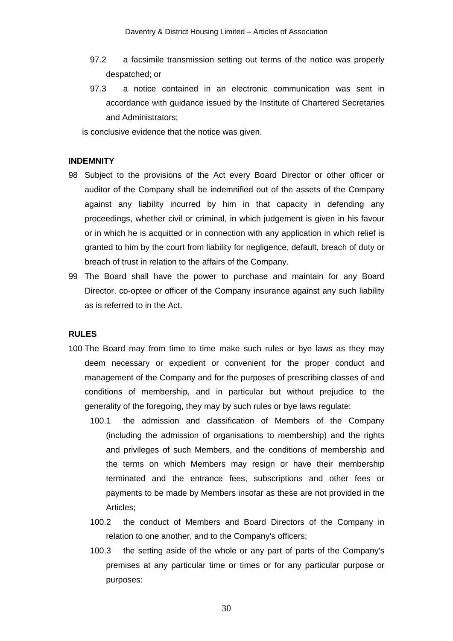- 97.2 a facsimile transmission setting out terms of the notice was properly despatched; or
- 97.3 a notice contained in an electronic communication was sent in accordance with guidance issued by the Institute of Chartered Secretaries and Administrators;

is conclusive evidence that the notice was given.

#### **INDEMNITY**

- 98 Subject to the provisions of the Act every Board Director or other officer or auditor of the Company shall be indemnified out of the assets of the Company against any liability incurred by him in that capacity in defending any proceedings, whether civil or criminal, in which judgement is given in his favour or in which he is acquitted or in connection with any application in which relief is granted to him by the court from liability for negligence, default, breach of duty or breach of trust in relation to the affairs of the Company.
- 99 The Board shall have the power to purchase and maintain for any Board Director, co-optee or officer of the Company insurance against any such liability as is referred to in the Act.

### **RULES**

- 100 The Board may from time to time make such rules or bye laws as they may deem necessary or expedient or convenient for the proper conduct and management of the Company and for the purposes of prescribing classes of and conditions of membership, and in particular but without prejudice to the generality of the foregoing, they may by such rules or bye laws regulate:
	- 100.1 the admission and classification of Members of the Company (including the admission of organisations to membership) and the rights and privileges of such Members, and the conditions of membership and the terms on which Members may resign or have their membership terminated and the entrance fees, subscriptions and other fees or payments to be made by Members insofar as these are not provided in the Articles;
	- 100.2 the conduct of Members and Board Directors of the Company in relation to one another, and to the Company's officers;
	- 100.3 the setting aside of the whole or any part of parts of the Company's premises at any particular time or times or for any particular purpose or purposes: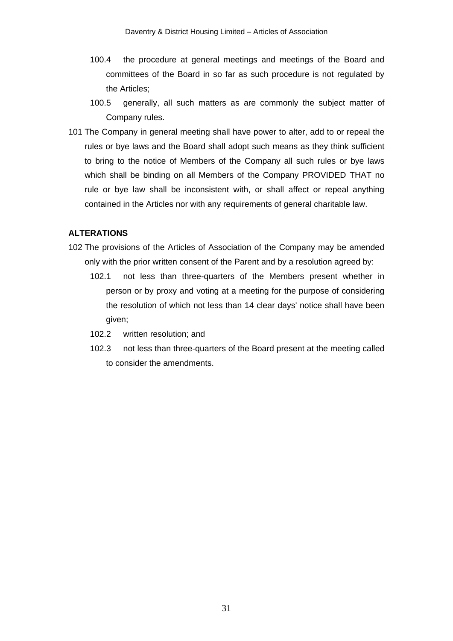- 100.4 the procedure at general meetings and meetings of the Board and committees of the Board in so far as such procedure is not regulated by the Articles;
- 100.5 generally, all such matters as are commonly the subject matter of Company rules.
- 101 The Company in general meeting shall have power to alter, add to or repeal the rules or bye laws and the Board shall adopt such means as they think sufficient to bring to the notice of Members of the Company all such rules or bye laws which shall be binding on all Members of the Company PROVIDED THAT no rule or bye law shall be inconsistent with, or shall affect or repeal anything contained in the Articles nor with any requirements of general charitable law.

# **ALTERATIONS**

- 102 The provisions of the Articles of Association of the Company may be amended only with the prior written consent of the Parent and by a resolution agreed by:
	- 102.1 not less than three-quarters of the Members present whether in person or by proxy and voting at a meeting for the purpose of considering the resolution of which not less than 14 clear days' notice shall have been given;
	- 102.2 written resolution; and
	- 102.3 not less than three-quarters of the Board present at the meeting called to consider the amendments.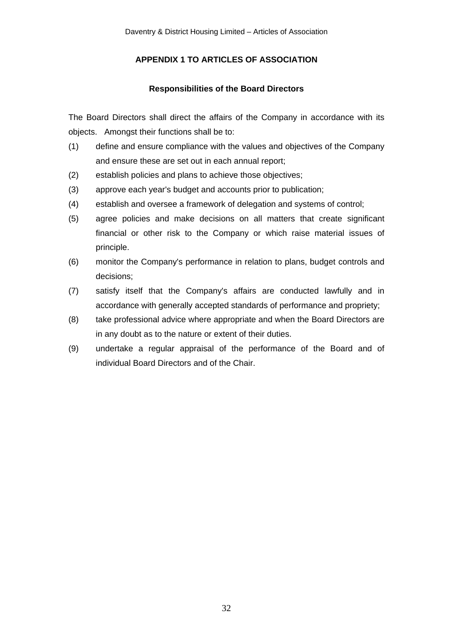# **APPENDIX 1 TO ARTICLES OF ASSOCIATION**

# **Responsibilities of the Board Directors**

The Board Directors shall direct the affairs of the Company in accordance with its objects. Amongst their functions shall be to:

- (1) define and ensure compliance with the values and objectives of the Company and ensure these are set out in each annual report;
- (2) establish policies and plans to achieve those objectives;
- (3) approve each year's budget and accounts prior to publication;
- (4) establish and oversee a framework of delegation and systems of control;
- (5) agree policies and make decisions on all matters that create significant financial or other risk to the Company or which raise material issues of principle.
- (6) monitor the Company's performance in relation to plans, budget controls and decisions;
- (7) satisfy itself that the Company's affairs are conducted lawfully and in accordance with generally accepted standards of performance and propriety;
- (8) take professional advice where appropriate and when the Board Directors are in any doubt as to the nature or extent of their duties.
- (9) undertake a regular appraisal of the performance of the Board and of individual Board Directors and of the Chair.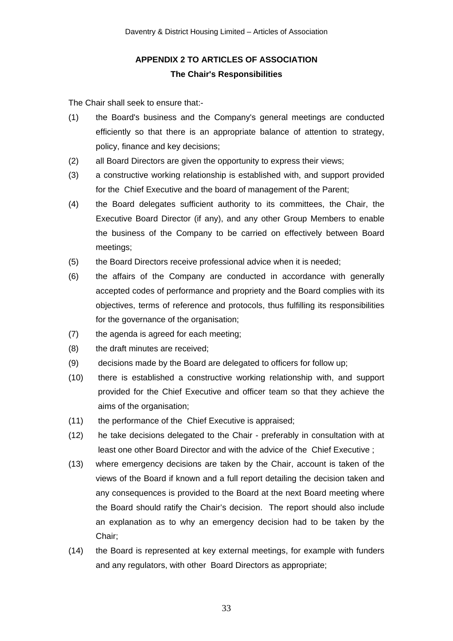# **APPENDIX 2 TO ARTICLES OF ASSOCIATION The Chair's Responsibilities**

The Chair shall seek to ensure that:-

- (1) the Board's business and the Company's general meetings are conducted efficiently so that there is an appropriate balance of attention to strategy, policy, finance and key decisions;
- (2) all Board Directors are given the opportunity to express their views;
- (3) a constructive working relationship is established with, and support provided for the Chief Executive and the board of management of the Parent;
- (4) the Board delegates sufficient authority to its committees, the Chair, the Executive Board Director (if any), and any other Group Members to enable the business of the Company to be carried on effectively between Board meetings;
- (5) the Board Directors receive professional advice when it is needed;
- (6) the affairs of the Company are conducted in accordance with generally accepted codes of performance and propriety and the Board complies with its objectives, terms of reference and protocols, thus fulfilling its responsibilities for the governance of the organisation;
- (7) the agenda is agreed for each meeting;
- (8) the draft minutes are received;
- (9) decisions made by the Board are delegated to officers for follow up;
- (10) there is established a constructive working relationship with, and support provided for the Chief Executive and officer team so that they achieve the aims of the organisation;
- (11) the performance of the Chief Executive is appraised;
- (12) he take decisions delegated to the Chair preferably in consultation with at least one other Board Director and with the advice of the Chief Executive ;
- (13) where emergency decisions are taken by the Chair, account is taken of the views of the Board if known and a full report detailing the decision taken and any consequences is provided to the Board at the next Board meeting where the Board should ratify the Chair's decision. The report should also include an explanation as to why an emergency decision had to be taken by the Chair;
- (14) the Board is represented at key external meetings, for example with funders and any regulators, with other Board Directors as appropriate;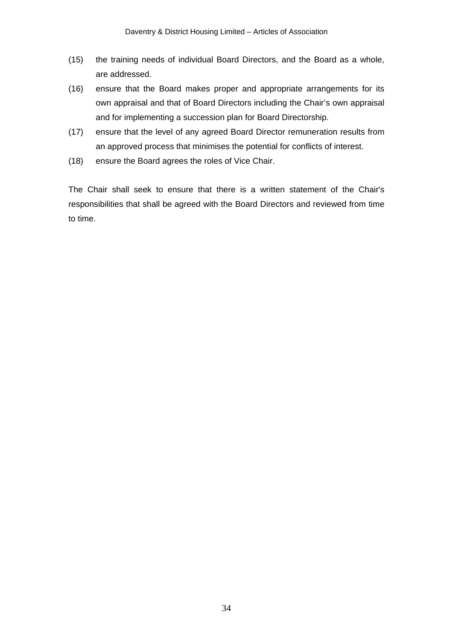- (15) the training needs of individual Board Directors, and the Board as a whole, are addressed.
- (16) ensure that the Board makes proper and appropriate arrangements for its own appraisal and that of Board Directors including the Chair's own appraisal and for implementing a succession plan for Board Directorship.
- (17) ensure that the level of any agreed Board Director remuneration results from an approved process that minimises the potential for conflicts of interest.
- (18) ensure the Board agrees the roles of Vice Chair.

The Chair shall seek to ensure that there is a written statement of the Chair's responsibilities that shall be agreed with the Board Directors and reviewed from time to time.